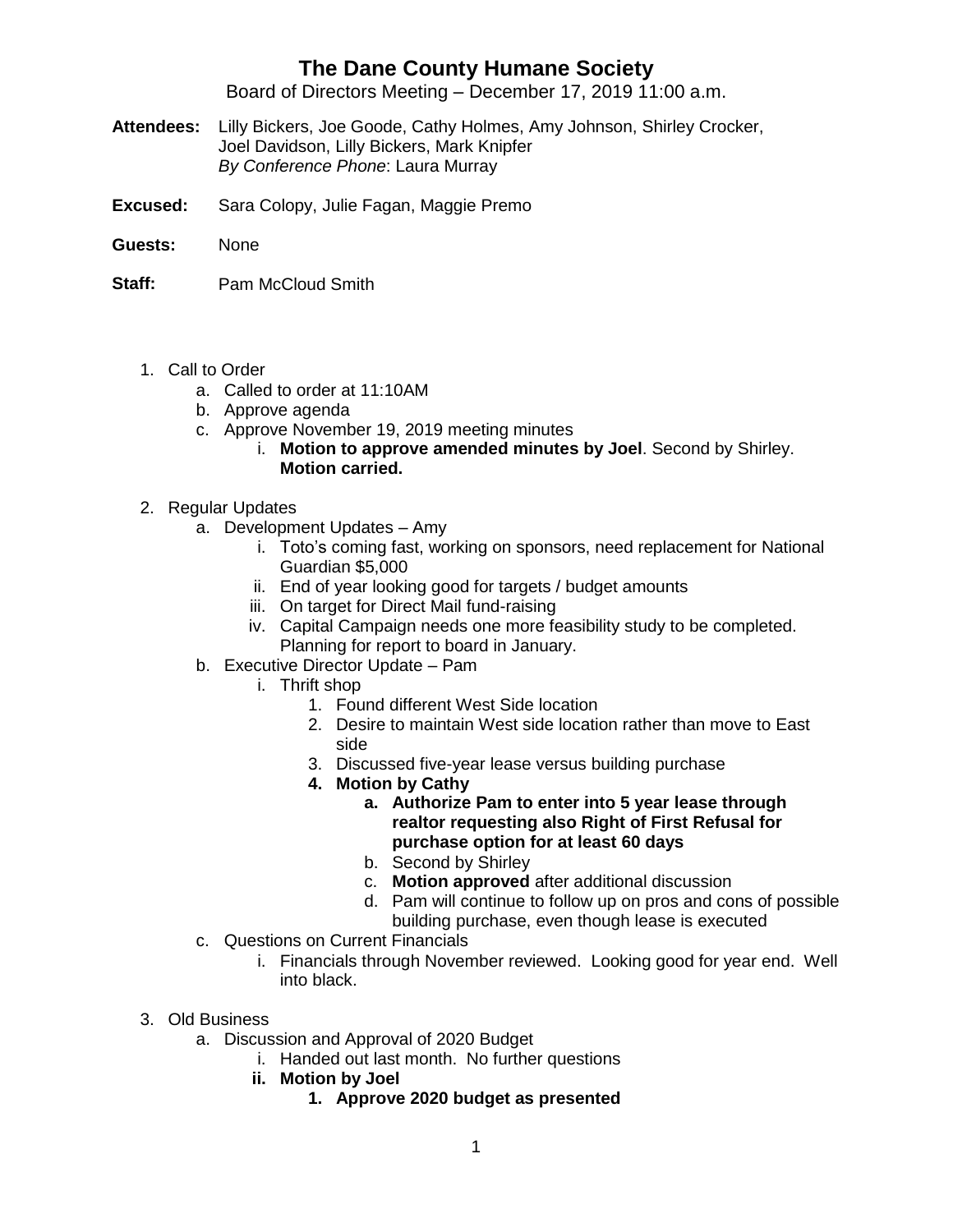## **The Dane County Humane Society**

Board of Directors Meeting – December 17, 2019 11:00 a.m.

- **Attendees:** Lilly Bickers, Joe Goode, Cathy Holmes, Amy Johnson, Shirley Crocker, Joel Davidson, Lilly Bickers, Mark Knipfer *By Conference Phone*: Laura Murray
- **Excused:** Sara Colopy, Julie Fagan, Maggie Premo
- **Guests:** None
- **Staff:** Pam McCloud Smith
	- 1. Call to Order
		- a. Called to order at 11:10AM
		- b. Approve agenda
		- c. Approve November 19, 2019 meeting minutes
			- i. **Motion to approve amended minutes by Joel**. Second by Shirley. **Motion carried.**
	- 2. Regular Updates
		- a. Development Updates Amy
			- i. Toto's coming fast, working on sponsors, need replacement for National Guardian \$5,000
			- ii. End of year looking good for targets / budget amounts
			- iii. On target for Direct Mail fund-raising
			- iv. Capital Campaign needs one more feasibility study to be completed. Planning for report to board in January.
		- b. Executive Director Update Pam
			- i. Thrift shop
				- 1. Found different West Side location
				- 2. Desire to maintain West side location rather than move to East side
				- 3. Discussed five-year lease versus building purchase
				- **4. Motion by Cathy**
					- **a. Authorize Pam to enter into 5 year lease through realtor requesting also Right of First Refusal for purchase option for at least 60 days**
					- b. Second by Shirley
					- c. **Motion approved** after additional discussion
					- d. Pam will continue to follow up on pros and cons of possible building purchase, even though lease is executed
		- c. Questions on Current Financials
			- i. Financials through November reviewed. Looking good for year end. Well into black.
	- 3. Old Business
		- a. Discussion and Approval of 2020 Budget
			- i. Handed out last month. No further questions
			- **ii. Motion by Joel**
				- **1. Approve 2020 budget as presented**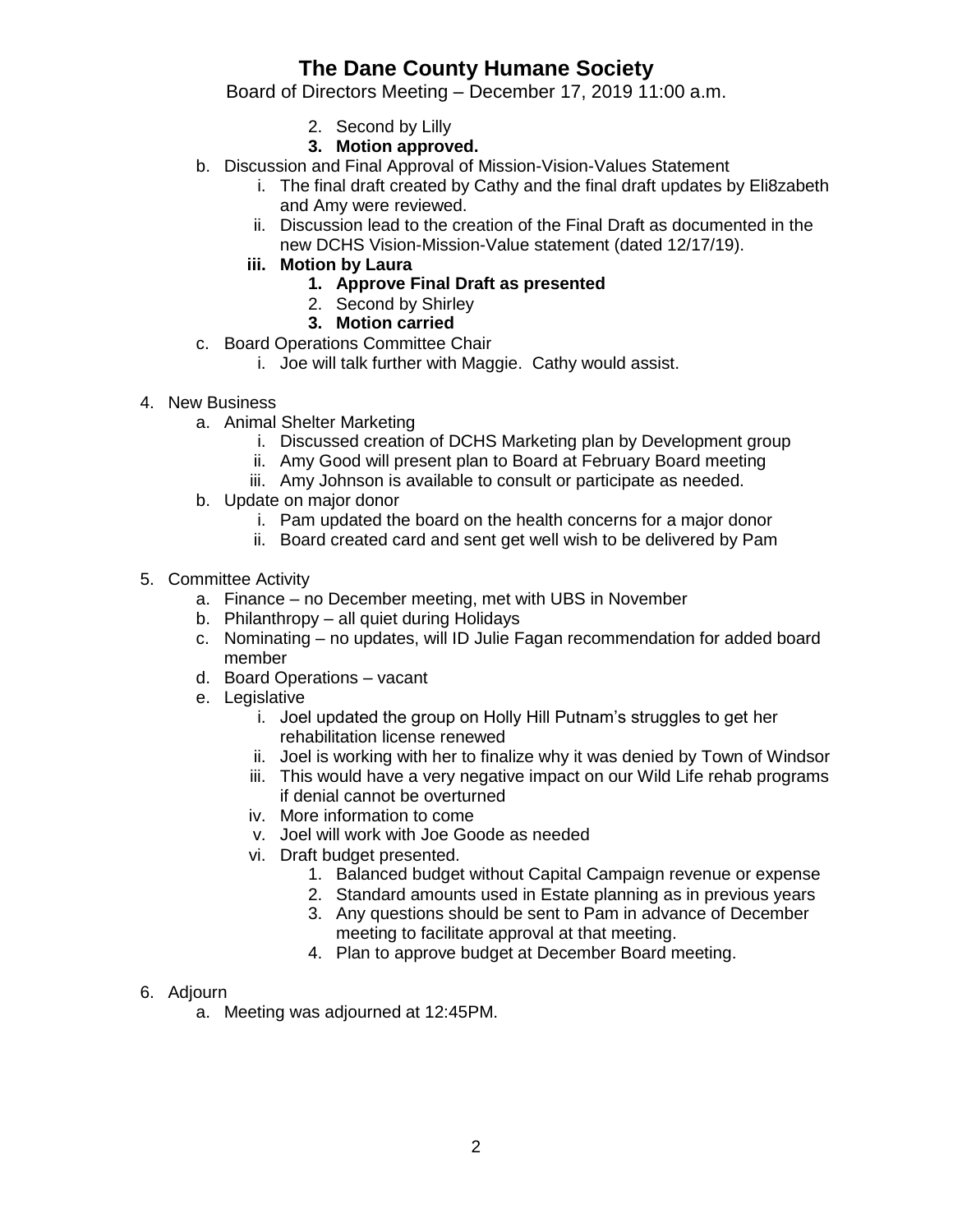## **The Dane County Humane Society**

Board of Directors Meeting – December 17, 2019 11:00 a.m.

- 2. Second by Lilly
- **3. Motion approved.**
- b. Discussion and Final Approval of Mission-Vision-Values Statement
	- i. The final draft created by Cathy and the final draft updates by Eli8zabeth and Amy were reviewed.
	- ii. Discussion lead to the creation of the Final Draft as documented in the new DCHS Vision-Mission-Value statement (dated 12/17/19).
	- **iii. Motion by Laura**
		- **1. Approve Final Draft as presented**
		- 2. Second by Shirley
		- **3. Motion carried**
- c. Board Operations Committee Chair
	- i. Joe will talk further with Maggie. Cathy would assist.
- 4. New Business
	- a. Animal Shelter Marketing
		- i. Discussed creation of DCHS Marketing plan by Development group
		- ii. Amy Good will present plan to Board at February Board meeting
		- iii. Amy Johnson is available to consult or participate as needed.
	- b. Update on major donor
		- i. Pam updated the board on the health concerns for a major donor
		- ii. Board created card and sent get well wish to be delivered by Pam
- 5. Committee Activity
	- a. Finance no December meeting, met with UBS in November
	- b. Philanthropy all quiet during Holidays
	- c. Nominating no updates, will ID Julie Fagan recommendation for added board member
	- d. Board Operations vacant
	- e. Legislative
		- i. Joel updated the group on Holly Hill Putnam's struggles to get her rehabilitation license renewed
		- ii. Joel is working with her to finalize why it was denied by Town of Windsor
		- iii. This would have a very negative impact on our Wild Life rehab programs if denial cannot be overturned
		- iv. More information to come
		- v. Joel will work with Joe Goode as needed
		- vi. Draft budget presented.
			- 1. Balanced budget without Capital Campaign revenue or expense
			- 2. Standard amounts used in Estate planning as in previous years
			- 3. Any questions should be sent to Pam in advance of December meeting to facilitate approval at that meeting.
			- 4. Plan to approve budget at December Board meeting.
- 6. Adjourn
	- a. Meeting was adjourned at 12:45PM.